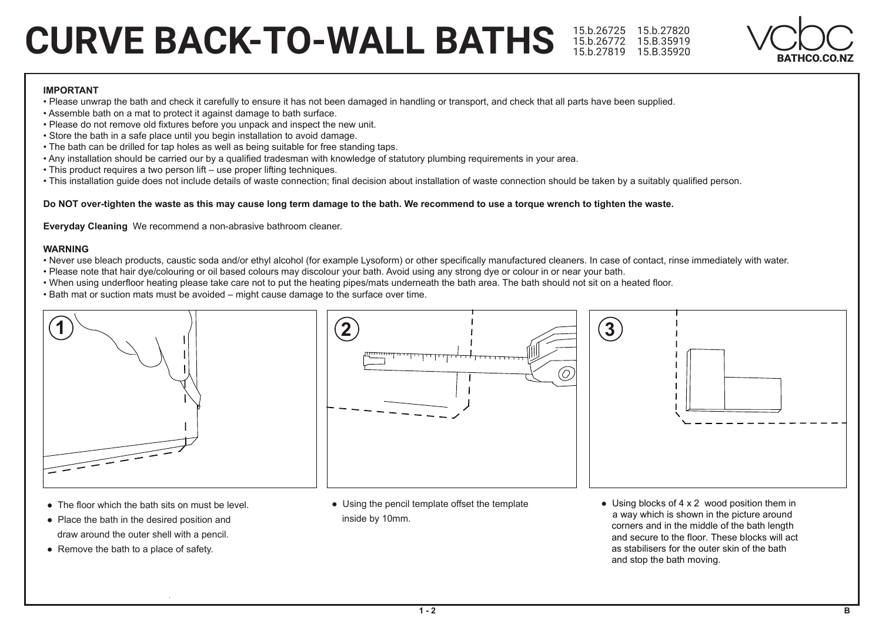# **CURVE BACK-TO-WALL BATHS** 15.b.26725 15.b.27820



#### **IMPORTANT**

- . Please unwrap the bath and check it carefully to ensure it has not been damaged in handling or transport, and check that all parts have been supplied.
- Assemble bath on a mat to protect it against damage to bath surface.
- . Please do not remove old fixtures before you unpack and inspect the new unit.
- Store the bath in a safe place until you begin installation to avoid damage.
- . The bath can be drilled for tap holes as well as being suitable for free standing taps.
- . Any installation should be carried our by a qualified tradesman with knowledge of statutory plumbing requirements in your area.
- This product requires a two person lift use proper lifting techniques.
- . This installation quide does not include details of waste connection; final decision about installation of waste connection should be taken by a suitably qualified person.

#### Do NOT over-tighten the waste as this may cause long term damage to the bath. We recommend to use a torque wrench to tighten the waste.

Everyday Cleaning We recommend a non-abrasive bathroom cleaner.

#### **WARNING**

- Never use bleach products, caustic soda and/or ethyl alcohol (for example Lysoform) or other specifically manufactured cleaners. In case of contact, rinse immediately with water.
- . Please note that hair dye/colouring or oil based colours may discolour your bath. Avoid using any strong dye or colour in or near your bath.
- . When using underfloor heating please take care not to put the heating pipes/mats underneath the bath area. The bath should not sit on a heated floor.
- . Bath mat or suction mats must be avoided might cause damage to the surface over time.



- The floor which the bath sits on must be level.
- Place the bath in the desired position and draw around the outer shell with a pencil.
- Remove the bath to a place of safety.



• Using the pencil template offset the template inside by 10mm.

• Using blocks of  $4 \times 2$  wood position them in a way which is shown in the picture around corners and in the middle of the bath length and secure to the floor. These blocks will act as stabilisers for the outer skin of the bath and stop the bath moving.

 $\bf(3)$